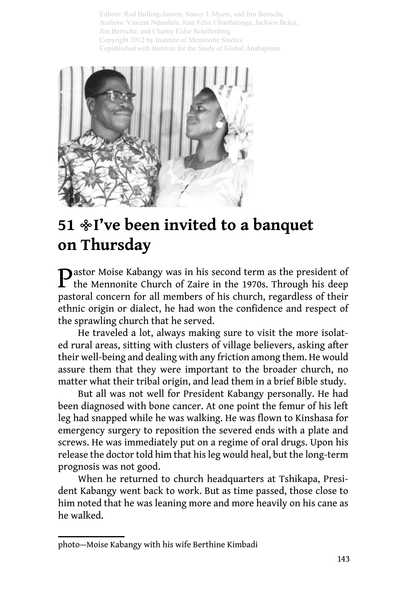Editors: Rod Holling-Janzen, Nancy J. Myers, and Jim Bertsche Authors: Vincent Ndandula, Jean Felix Chimbalanga, Jackson Beleji, Jim Bertsche, and Charity Eidse Schellenberg Copyright 2012 by Institute of Mennonite Studies Copublished with Institute for the Study of Global Anabaptism



## **I've been invited to a banquet 51**  on Thursday

**P**astor Moise Kabangy was in his second term as the president of the Mennonite Church of Zaire in the 1970s. Through his deep pastoral concern for all members of his church, regardless of their ethnic origin or dialect, he had won the confidence and respect of the sprawling church that he served.

He traveled a lot, always making sure to visit the more isolated rural areas, sitting with clusters of village believers, asking after their well-being and dealing with any friction among them. He would assure them that they were important to the broader church, no matter what their tribal origin, and lead them in a brief Bible study.

But all was not well for President Kabangy personally. He had been diagnosed with bone cancer. At one point the femur of his left leg had snapped while he was walking. He was flown to Kinshasa for emergency surgery to reposition the severed ends with a plate and screws. He was immediately put on a regime of oral drugs. Upon his release the doctor told him that his leg would heal, but the long-term prognosis was not good.

When he returned to church headquarters at Tshikapa, President Kabangy went back to work. But as time passed, those close to him noted that he was leaning more and more heavily on his cane as he walked.

photo—Moise Kabangy with his wife Berthine Kimbadi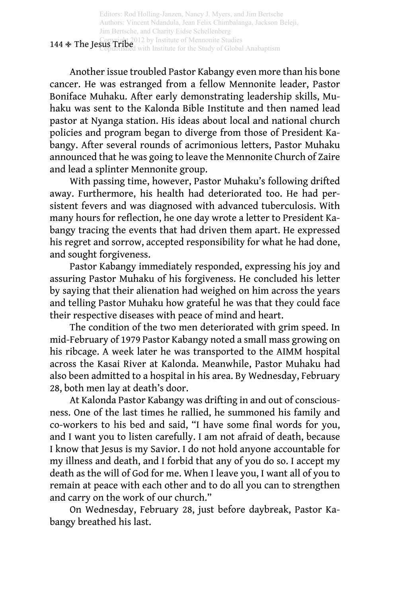**144 \* The Jesus Tribe**<br> **144 \* The Jesus Tribe**d with Institute for the Study of Global 4 Editors: Rod Holling-Janzen, Nancy J. Myers, and Jim Bertsche Authors: Vincent Ndandula, Jean Felix Chimbalanga, Jackson Beleji, Jim Bertsche, and Charity Eidse Schellenberg **Copublished** with Institute for the Study of Global Anabaptism

Another issue troubled Pastor Kabangy even more than his bone cancer. He was estranged from a fellow Mennonite leader, Pastor Boniface Muhaku. After early demonstrating leadership skills, Muhaku was sent to the Kalonda Bible Institute and then named lead pastor at Nyanga station. His ideas about local and national church policies and program began to diverge from those of President Kabangy. After several rounds of acrimonious letters, Pastor Muhaku announced that he was going to leave the Mennonite Church of Zaire and lead a splinter Mennonite group.

With passing time, however, Pastor Muhaku's following drifted away. Furthermore, his health had deteriorated too. He had persistent fevers and was diagnosed with advanced tuberculosis. With many hours for reflection, he one day wrote a letter to President Kabangy tracing the events that had driven them apart. He expressed his regret and sorrow, accepted responsibility for what he had done, and sought forgiveness.

Pastor Kabangy immediately responded, expressing his joy and assuring Pastor Muhaku of his forgiveness. He concluded his letter by saying that their alienation had weighed on him across the years and telling Pastor Muhaku how grateful he was that they could face their respective diseases with peace of mind and heart.

The condition of the two men deteriorated with grim speed. In mid-February of 1979 Pastor Kabangy noted a small mass growing on his ribcage. A week later he was transported to the AIMM hospital across the Kasai River at Kalonda. Meanwhile, Pastor Muhaku had also been admitted to a hospital in his area. By Wednesday, February 28, both men lay at death's door.

At Kalonda Pastor Kabangy was drifting in and out of consciousness. One of the last times he rallied, he summoned his family and co-workers to his bed and said, "I have some final words for you, and I want you to listen carefully. I am not afraid of death, because I know that Jesus is my Savior. I do not hold anyone accountable for my illness and death, and I forbid that any of you do so. I accept my death as the will of God for me. When I leave you, I want all of you to remain at peace with each other and to do all you can to strengthen and carry on the work of our church."

On Wednesday, February 28, just before daybreak, Pastor Kabangy breathed his last.